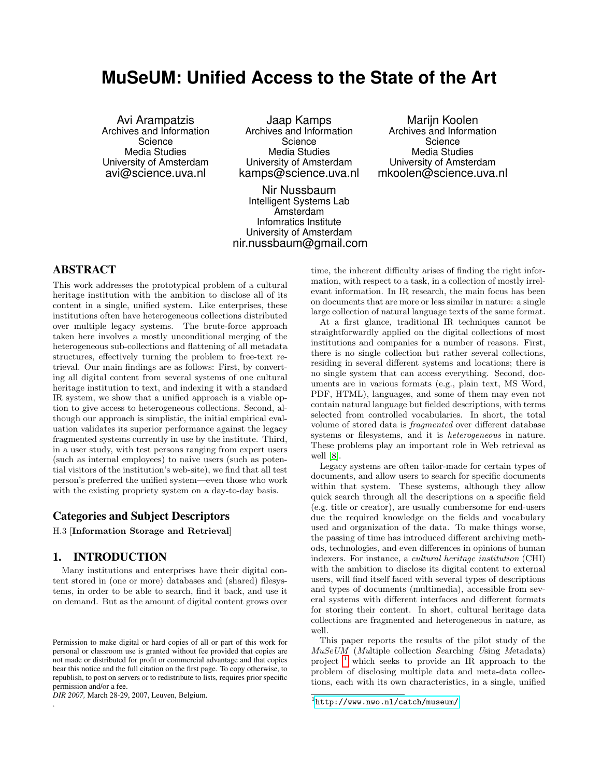# <span id="page-0-1"></span>**MuSeUM: Unified Access to the State of the Art**

Avi Arampatzis Archives and Information Science Media Studies University of Amsterdam avi@science.uva.nl

Jaap Kamps Archives and Information Science Media Studies University of Amsterdam kamps@science.uva.nl

Nir Nussbaum Intelligent Systems Lab Amsterdam Infomratics Institute University of Amsterdam nir.nussbaum@gmail.com

Marijn Koolen Archives and Information Science Media Studies University of Amsterdam mkoolen@science.uva.nl

# ABSTRACT

This work addresses the prototypical problem of a cultural heritage institution with the ambition to disclose all of its content in a single, unified system. Like enterprises, these institutions often have heterogeneous collections distributed over multiple legacy systems. The brute-force approach taken here involves a mostly unconditional merging of the heterogeneous sub-collections and flattening of all metadata structures, effectively turning the problem to free-text retrieval. Our main findings are as follows: First, by converting all digital content from several systems of one cultural heritage institution to text, and indexing it with a standard IR system, we show that a unified approach is a viable option to give access to heterogeneous collections. Second, although our approach is simplistic, the initial empirical evaluation validates its superior performance against the legacy fragmented systems currently in use by the institute. Third, in a user study, with test persons ranging from expert users (such as internal employees) to naive users (such as potential visitors of the institution's web-site), we find that all test person's preferred the unified system—even those who work with the existing propriety system on a day-to-day basis.

#### Categories and Subject Descriptors

H.3 [Information Storage and Retrieval]

### 1. INTRODUCTION

Many institutions and enterprises have their digital content stored in (one or more) databases and (shared) filesystems, in order to be able to search, find it back, and use it on demand. But as the amount of digital content grows over

*DIR 2007,* March 28-29, 2007, Leuven, Belgium.

.

time, the inherent difficulty arises of finding the right information, with respect to a task, in a collection of mostly irrelevant information. In IR research, the main focus has been on documents that are more or less similar in nature: a single large collection of natural language texts of the same format.

At a first glance, traditional IR techniques cannot be straightforwardly applied on the digital collections of most institutions and companies for a number of reasons. First, there is no single collection but rather several collections, residing in several different systems and locations; there is no single system that can access everything. Second, documents are in various formats (e.g., plain text, MS Word, PDF, HTML), languages, and some of them may even not contain natural language but fielded descriptions, with terms selected from controlled vocabularies. In short, the total volume of stored data is fragmented over different database systems or filesystems, and it is heterogeneous in nature. These problems play an important role in Web retrieval as well [\[8\]](#page-6-0).

Legacy systems are often tailor-made for certain types of documents, and allow users to search for specific documents within that system. These systems, although they allow quick search through all the descriptions on a specific field (e.g. title or creator), are usually cumbersome for end-users due the required knowledge on the fields and vocabulary used and organization of the data. To make things worse, the passing of time has introduced different archiving methods, technologies, and even differences in opinions of human indexers. For instance, a cultural heritage institution (CHI) with the ambition to disclose its digital content to external users, will find itself faced with several types of descriptions and types of documents (multimedia), accessible from several systems with different interfaces and different formats for storing their content. In short, cultural heritage data collections are fragmented and heterogeneous in nature, as well.

This paper reports the results of the pilot study of the MuSeUM (Multiple collection Searching Using Metadata) project  $\frac{1}{1}$  $\frac{1}{1}$  $\frac{1}{1}$  which seeks to provide an IR approach to the problem of disclosing multiple data and meta-data collections, each with its own characteristics, in a single, unified

Permission to make digital or hard copies of all or part of this work for personal or classroom use is granted without fee provided that copies are not made or distributed for profit or commercial advantage and that copies bear this notice and the full citation on the first page. To copy otherwise, to republish, to post on servers or to redistribute to lists, requires prior specific permission and/or a fee.

<span id="page-0-0"></span><sup>1</sup> <http://www.nwo.nl/catch/museum/>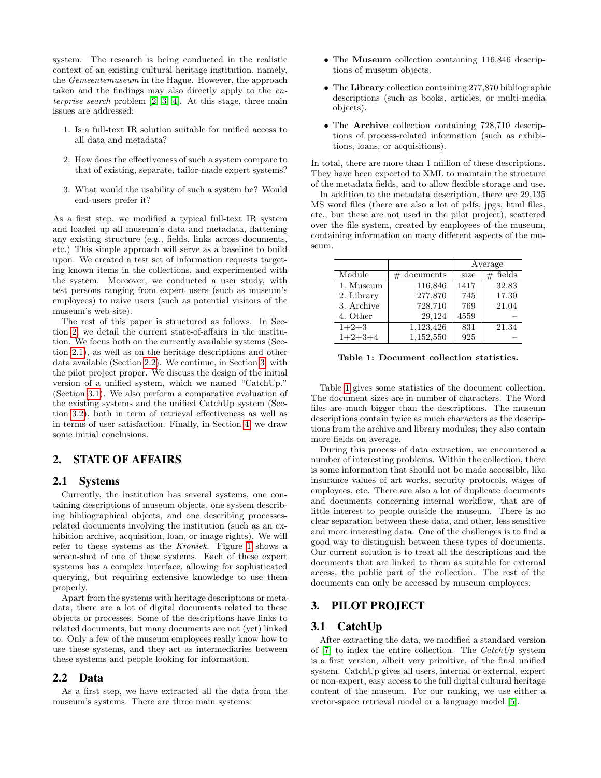system. The research is being conducted in the realistic context of an existing cultural heritage institution, namely, the Gemeentemuseum in the Hague. However, the approach taken and the findings may also directly apply to the enterprise search problem [\[2,](#page-6-1) [3,](#page-6-2) [4\]](#page-6-3). At this stage, three main issues are addressed:

- 1. Is a full-text IR solution suitable for unified access to all data and metadata?
- 2. How does the effectiveness of such a system compare to that of existing, separate, tailor-made expert systems?
- 3. What would the usability of such a system be? Would end-users prefer it?

As a first step, we modified a typical full-text IR system and loaded up all museum's data and metadata, flattening any existing structure (e.g., fields, links across documents, etc.) This simple approach will serve as a baseline to build upon. We created a test set of information requests targeting known items in the collections, and experimented with the system. Moreover, we conducted a user study, with test persons ranging from expert users (such as museum's employees) to naive users (such as potential visitors of the museum's web-site).

The rest of this paper is structured as follows. In Section [2,](#page-0-1) we detail the current state-of-affairs in the institution. We focus both on the currently available systems (Section [2.1\)](#page-0-1), as well as on the heritage descriptions and other data available (Section [2.2\)](#page-0-1). We continue, in Section [3,](#page-0-1) with the pilot project proper. We discuss the design of the initial version of a unified system, which we named "CatchUp." (Section [3.1\)](#page-0-1). We also perform a comparative evaluation of the existing systems and the unified CatchUp system (Section [3.2\)](#page-0-1), both in term of retrieval effectiveness as well as in terms of user satisfaction. Finally, in Section [4,](#page-6-4) we draw some initial conclusions.

## 2. STATE OF AFFAIRS

#### 2.1 Systems

Currently, the institution has several systems, one containing descriptions of museum objects, one system describing bibliographical objects, and one describing processesrelated documents involving the institution (such as an exhibition archive, acquisition, loan, or image rights). We will refer to these systems as the Kroniek. Figure [1](#page-0-1) shows a screen-shot of one of these systems. Each of these expert systems has a complex interface, allowing for sophisticated querying, but requiring extensive knowledge to use them properly.

Apart from the systems with heritage descriptions or metadata, there are a lot of digital documents related to these objects or processes. Some of the descriptions have links to related documents, but many documents are not (yet) linked to. Only a few of the museum employees really know how to use these systems, and they act as intermediaries between these systems and people looking for information.

#### 2.2 Data

As a first step, we have extracted all the data from the museum's systems. There are three main systems:

- The Museum collection containing 116,846 descriptions of museum objects.
- The Library collection containing 277,870 bibliographic descriptions (such as books, articles, or multi-media objects).
- The Archive collection containing 728,710 descriptions of process-related information (such as exhibitions, loans, or acquisitions).

In total, there are more than 1 million of these descriptions. They have been exported to XML to maintain the structure of the metadata fields, and to allow flexible storage and use.

In addition to the metadata description, there are 29,135 MS word files (there are also a lot of pdfs, jpgs, html files, etc., but these are not used in the pilot project), scattered over the file system, created by employees of the museum, containing information on many different aspects of the museum.

|            |               | Average           |            |
|------------|---------------|-------------------|------------|
| Module     | $#$ documents | size              | $#$ fields |
| 1. Museum  | 116,846       | $\overline{14}17$ | 32.83      |
| 2. Library | 277,870       | 745               | 17.30      |
| 3. Archive | 728,710       | 769               | 21.04      |
| 4. Other   | 29,124        | 4559              |            |
| $1+2+3$    | 1,123,426     | 831               | 21.34      |
| $1+2+3+4$  | 1,152,550     | 925               |            |

Table 1: Document collection statistics.

Table [1](#page-0-1) gives some statistics of the document collection. The document sizes are in number of characters. The Word files are much bigger than the descriptions. The museum descriptions contain twice as much characters as the descriptions from the archive and library modules; they also contain more fields on average.

During this process of data extraction, we encountered a number of interesting problems. Within the collection, there is some information that should not be made accessible, like insurance values of art works, security protocols, wages of employees, etc. There are also a lot of duplicate documents and documents concerning internal workflow, that are of little interest to people outside the museum. There is no clear separation between these data, and other, less sensitive and more interesting data. One of the challenges is to find a good way to distinguish between these types of documents. Our current solution is to treat all the descriptions and the documents that are linked to them as suitable for external access, the public part of the collection. The rest of the documents can only be accessed by museum employees.

# 3. PILOT PROJECT

#### 3.1 CatchUp

After extracting the data, we modified a standard version of  $[7]$  to index the entire collection. The CatchUp system is a first version, albeit very primitive, of the final unified system. CatchUp gives all users, internal or external, expert or non-expert, easy access to the full digital cultural heritage content of the museum. For our ranking, we use either a vector-space retrieval model or a language model [\[5\]](#page-6-6).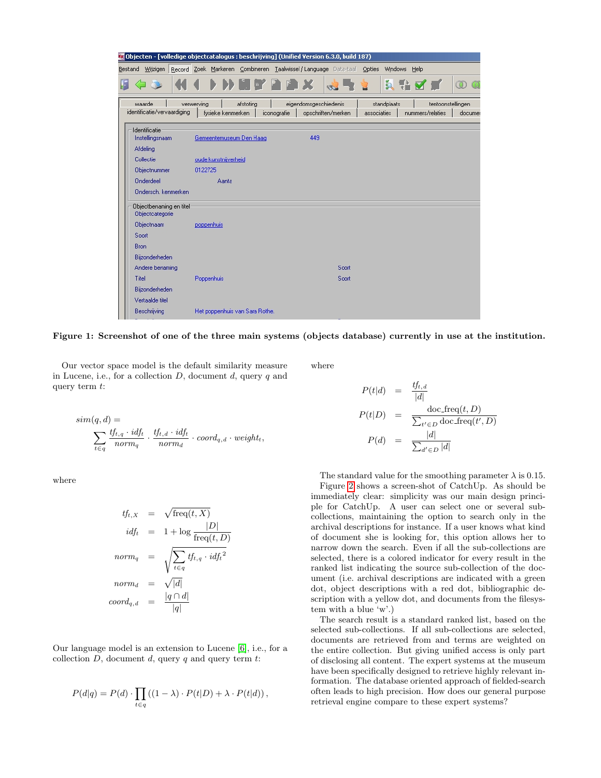

Figure 1: Screenshot of one of the three main systems (objects database) currently in use at the institution.

Our vector space model is the default similarity measure in Lucene, i.e., for a collection  $D$ , document  $d$ , query  $q$  and query term t:

$$
sim(q, d) = \sum_{t \in q} \frac{tf_{t,q} \cdot id_{ft}}{norm_q} \cdot \frac{tf_{t,d} \cdot id_{ft}}{norm_d} \cdot coord_{q,d} \cdot weight_t,
$$

where

$$
tf_{t,X} = \sqrt{\text{freq}(t, X)}
$$
  

$$
idf_t = 1 + \log \frac{|D|}{\text{freq}(t, D)}
$$
  

$$
norm_q = \sqrt{\sum_{t \in q} tf_{t,q} \cdot idf_t^2}
$$
  

$$
norm_d = \sqrt{|d|}
$$
  

$$
coord_{q,d} = \frac{|q \cap d|}{|q|}
$$

Our language model is an extension to Lucene [\[6\]](#page-6-7), i.e., for a collection  $D$ , document  $d$ , query  $q$  and query term  $t$ :

$$
P(d|q) = P(d) \cdot \prod_{t \in q} ((1 - \lambda) \cdot P(t|D) + \lambda \cdot P(t|d)),
$$

where

$$
P(t|d) = \frac{tf_{t,d}}{|d|}
$$
  
\n
$$
P(t|D) = \frac{\text{doc-free}(t, D)}{\sum_{t' \in D} \text{doc-free}(t', D)}
$$
  
\n
$$
P(d) = \frac{|d|}{\sum_{d' \in D} |d|}
$$

The standard value for the smoothing parameter  $\lambda$  is 0.15.

Figure [2](#page-0-1) shows a screen-shot of CatchUp. As should be immediately clear: simplicity was our main design principle for CatchUp. A user can select one or several subcollections, maintaining the option to search only in the archival descriptions for instance. If a user knows what kind of document she is looking for, this option allows her to narrow down the search. Even if all the sub-collections are selected, there is a colored indicator for every result in the ranked list indicating the source sub-collection of the document (i.e. archival descriptions are indicated with a green dot, object descriptions with a red dot, bibliographic description with a yellow dot, and documents from the filesystem with a blue 'w'.)

The search result is a standard ranked list, based on the selected sub-collections. If all sub-collections are selected, documents are retrieved from and terms are weighted on the entire collection. But giving unified access is only part of disclosing all content. The expert systems at the museum have been specifically designed to retrieve highly relevant information. The database oriented approach of fielded-search often leads to high precision. How does our general purpose retrieval engine compare to these expert systems?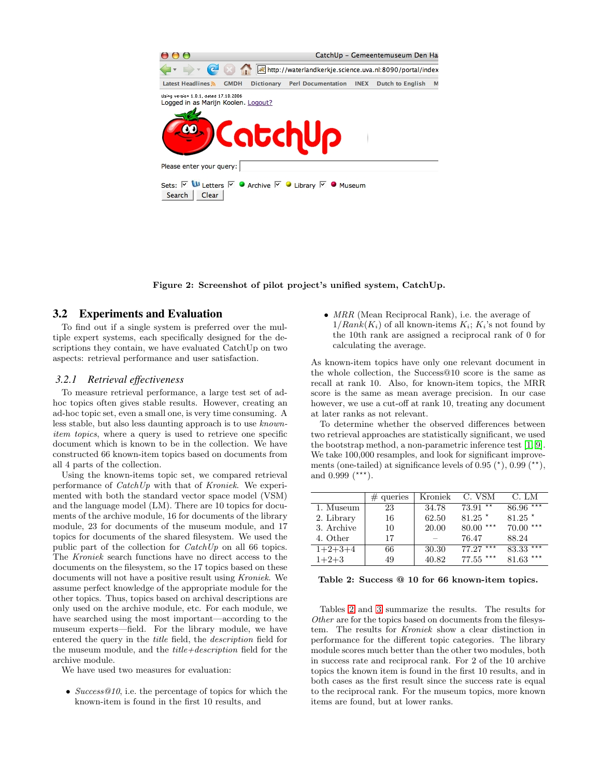

Figure 2: Screenshot of pilot project's unified system, CatchUp.

#### 3.2 Experiments and Evaluation

To find out if a single system is preferred over the multiple expert systems, each specifically designed for the descriptions they contain, we have evaluated CatchUp on two aspects: retrieval performance and user satisfaction.

#### *3.2.1 Retrieval effectiveness*

To measure retrieval performance, a large test set of adhoc topics often gives stable results. However, creating an ad-hoc topic set, even a small one, is very time consuming. A less stable, but also less daunting approach is to use knownitem topics, where a query is used to retrieve one specific document which is known to be in the collection. We have constructed 66 known-item topics based on documents from all 4 parts of the collection.

Using the known-items topic set, we compared retrieval performance of CatchUp with that of Kroniek. We experimented with both the standard vector space model (VSM) and the language model (LM). There are 10 topics for documents of the archive module, 16 for documents of the library module, 23 for documents of the museum module, and 17 topics for documents of the shared filesystem. We used the public part of the collection for CatchUp on all 66 topics. The Kroniek search functions have no direct access to the documents on the filesystem, so the 17 topics based on these documents will not have a positive result using Kroniek. We assume perfect knowledge of the appropriate module for the other topics. Thus, topics based on archival descriptions are only used on the archive module, etc. For each module, we have searched using the most important—according to the museum experts—field. For the library module, we have entered the query in the title field, the description field for the museum module, and the  $title+description$  field for the archive module.

We have used two measures for evaluation:

• Success@10, i.e. the percentage of topics for which the known-item is found in the first 10 results, and

• MRR (Mean Reciprocal Rank), i.e. the average of  $1/Rank(K_i)$  of all known-items  $K_i$ ;  $K_i$ 's not found by the 10th rank are assigned a reciprocal rank of 0 for calculating the average.

As known-item topics have only one relevant document in the whole collection, the Success@10 score is the same as recall at rank 10. Also, for known-item topics, the MRR score is the same as mean average precision. In our case however, we use a cut-off at rank 10, treating any document at later ranks as not relevant.

To determine whether the observed differences between two retrieval approaches are statistically significant, we used the bootstrap method, a non-parametric inference test [\[1,](#page-6-8) [9\]](#page-6-9). We take  $100,000$  resamples, and look for significant improvements (one-tailed) at significance levels of  $0.95$   $(*)$ ,  $0.99$   $(**)$ , and 0.999  $(***)$ .

|            | $#$ queries | Kroniek | C. VSM                | C. LM                  |
|------------|-------------|---------|-----------------------|------------------------|
| 1. Museum  | 23          | 34.78   | $73.91 \overline{**}$ | $86.96***$             |
| 2. Library | 16          | 62.50   | $81.25$ *             | $81.25*$               |
| 3. Archive | 10          | 20.00   | $80.00***$            | $70.00***$             |
| 4. Other   | 17          |         | 76.47                 | 88.24                  |
| $1+2+3+4$  | 66          | 30.30   | $77.27***$            | $83.33$ <sup>***</sup> |
| $1+2+3$    | 49          | 40.82   | $77.55$ ***           | $81.63$ ***            |

Table 2: Success @ 10 for 66 known-item topics.

Tables [2](#page-4-0) and [3](#page-0-1) summarize the results. The results for Other are for the topics based on documents from the filesystem. The results for Kroniek show a clear distinction in performance for the different topic categories. The library module scores much better than the other two modules, both in success rate and reciprocal rank. For 2 of the 10 archive topics the known item is found in the first 10 results, and in both cases as the first result since the success rate is equal to the reciprocal rank. For the museum topics, more known items are found, but at lower ranks.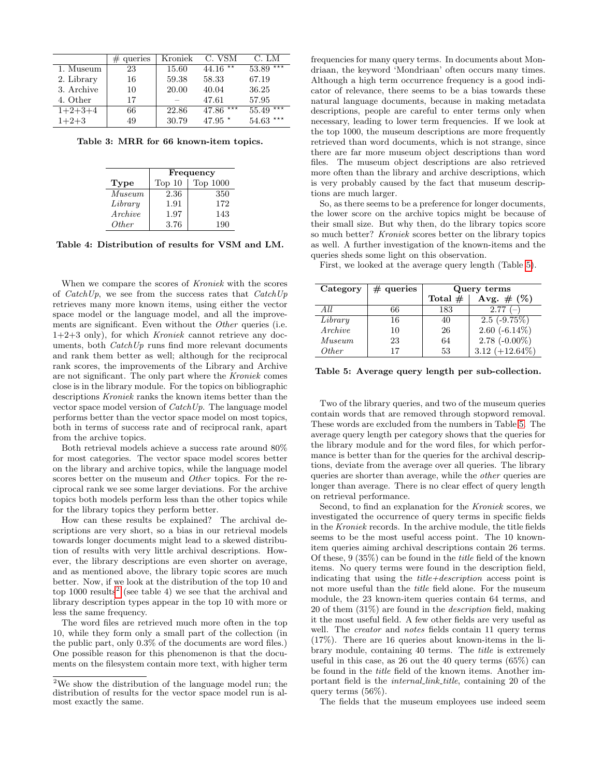|            | $#$ queries | Kroniek | C. VSM     | C. LM          |
|------------|-------------|---------|------------|----------------|
| 1. Museum  | 23          | 15.60   | $44.16$ ** | $53.89***$     |
| 2. Library | 16          | 59.38   | 58.33      | 67.19          |
| 3. Archive | 10          | 20.00   | 40.04      | 36.25          |
| 4. Other   | 17          |         | 47.61      | 57.95          |
| $1+2+3+4$  | 66          | 22.86   | $47.86***$ | ***<br>55.49   |
| $1+2+3$    | 49          | 30.79   | 47.95 $*$  | 54.63<br>$***$ |

Table 3: MRR for 66 known-item topics.

<span id="page-4-0"></span>

|            | Frequency |          |  |
|------------|-----------|----------|--|
| Type       | Top 10    | Top 1000 |  |
| Museum     | 2.36      | 350      |  |
| $Libr$ ary | 1.91      | 172      |  |
| Archive    | 1.97      | 143      |  |
| Other      | 3.76      | 190      |  |

Table 4: Distribution of results for VSM and LM.

When we compare the scores of *Kroniek* with the scores of  $\text{Cat}chUp$ , we see from the success rates that  $\text{Cat}chUp$ retrieves many more known items, using either the vector space model or the language model, and all the improvements are significant. Even without the Other queries (i.e.  $1+2+3$  only), for which *Kroniek* cannot retrieve any documents, both  $\textit{CatchUp}$  runs find more relevant documents and rank them better as well; although for the reciprocal rank scores, the improvements of the Library and Archive are not significant. The only part where the Kroniek comes close is in the library module. For the topics on bibliographic descriptions Kroniek ranks the known items better than the vector space model version of  $\text{Cat}chUp$ . The language model performs better than the vector space model on most topics, both in terms of success rate and of reciprocal rank, apart from the archive topics.

Both retrieval models achieve a success rate around 80% for most categories. The vector space model scores better on the library and archive topics, while the language model scores better on the museum and *Other* topics. For the reciprocal rank we see some larger deviations. For the archive topics both models perform less than the other topics while for the library topics they perform better.

How can these results be explained? The archival descriptions are very short, so a bias in our retrieval models towards longer documents might lead to a skewed distribution of results with very little archival descriptions. However, the library descriptions are even shorter on average, and as mentioned above, the library topic scores are much better. Now, if we look at the distribution of the top 10 and top 1000 results<sup>[2](#page-4-1)</sup> (see table 4) we see that the archival and library description types appear in the top 10 with more or less the same frequency.

The word files are retrieved much more often in the top 10, while they form only a small part of the collection (in the public part, only 0.3% of the documents are word files.) One possible reason for this phenomenon is that the documents on the filesystem contain more text, with higher term

frequencies for many query terms. In documents about Mondriaan, the keyword 'Mondriaan' often occurs many times. Although a high term occurrence frequency is a good indicator of relevance, there seems to be a bias towards these natural language documents, because in making metadata descriptions, people are careful to enter terms only when necessary, leading to lower term frequencies. If we look at the top 1000, the museum descriptions are more frequently retrieved than word documents, which is not strange, since there are far more museum object descriptions than word files. The museum object descriptions are also retrieved more often than the library and archive descriptions, which is very probably caused by the fact that museum descriptions are much larger.

So, as there seems to be a preference for longer documents, the lower score on the archive topics might be because of their small size. But why then, do the library topics score so much better? Kroniek scores better on the library topics as well. A further investigation of the known-items and the queries sheds some light on this observation.

First, we looked at the average query length (Table [5\)](#page-0-1).

| Category | $#$ queries | Query terms |                   |
|----------|-------------|-------------|-------------------|
|          |             | Total $#$   | Avg. # $(\%)$     |
| A I.I.   | 66          | 183         | $2.77(-)$         |
| Library  | 16          | 40          | $2.5(-9.75%)$     |
| Archive  | 10          | 26          | $2.60(-6.14\%)$   |
| Museum   | 23          | 64          | $2.78$ (-0.00%)   |
| Other    | 17          | 53          | 3.12 $(+12.64\%)$ |

Table 5: Average query length per sub-collection.

Two of the library queries, and two of the museum queries contain words that are removed through stopword removal. These words are excluded from the numbers in Table [5.](#page-0-1) The average query length per category shows that the queries for the library module and for the word files, for which performance is better than for the queries for the archival descriptions, deviate from the average over all queries. The library queries are shorter than average, while the other queries are longer than average. There is no clear effect of query length on retrieval performance.

Second, to find an explanation for the Kroniek scores, we investigated the occurrence of query terms in specific fields in the Kroniek records. In the archive module, the title fields seems to be the most useful access point. The 10 knownitem queries aiming archival descriptions contain 26 terms. Of these, 9 (35%) can be found in the title field of the known items. No query terms were found in the description field, indicating that using the  $title+description$  access point is not more useful than the title field alone. For the museum module, the 23 known-item queries contain 64 terms, and 20 of them (31%) are found in the description field, making it the most useful field. A few other fields are very useful as well. The *creator* and *notes* fields contain 11 query terms (17%). There are 16 queries about known-items in the library module, containing 40 terms. The title is extremely useful in this case, as 26 out the 40 query terms (65%) can be found in the title field of the known items. Another important field is the *internal link title*, containing 20 of the query terms (56%).

The fields that the museum employees use indeed seem

<span id="page-4-1"></span><sup>2</sup>We show the distribution of the language model run; the distribution of results for the vector space model run is almost exactly the same.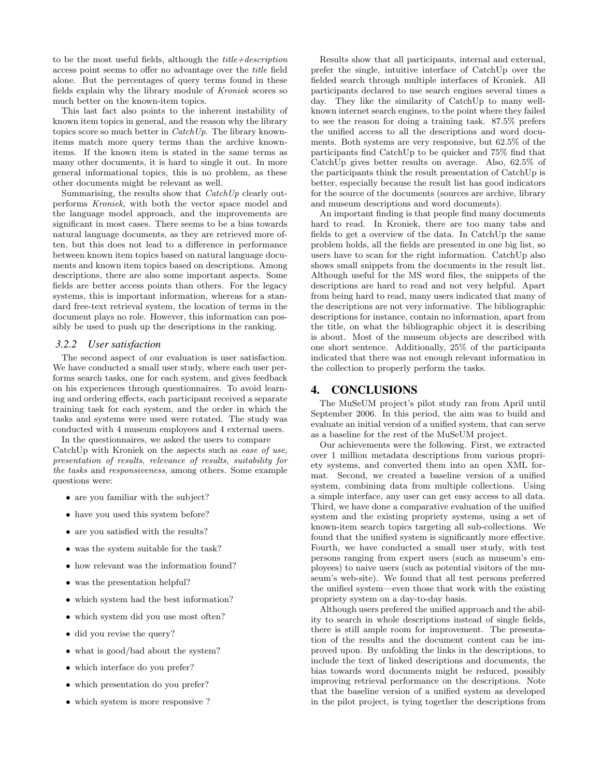to be the most useful fields, although the  $title+description$ access point seems to offer no advantage over the title field alone. But the percentages of query terms found in these fields explain why the library module of Kroniek scores so much better on the known-item topics.

This last fact also points to the inherent instability of known item topics in general, and the reason why the library topics score so much better in  $\textit{CacheUp}.$  The library knownitems match more query terms than the archive knownitems. If the known item is stated in the same terms as many other documents, it is hard to single it out. In more general informational topics, this is no problem, as these other documents might be relevant as well.

Summarising, the results show that  $\textit{CacheUp}$  clearly outperforms Kroniek, with both the vector space model and the language model approach, and the improvements are significant in most cases. There seems to be a bias towards natural language documents, as they are retrieved more often, but this does not lead to a difference in performance between known item topics based on natural language documents and known item topics based on descriptions. Among descriptions, there are also some important aspects. Some fields are better access points than others. For the legacy systems, this is important information, whereas for a standard free-text retrieval system, the location of terms in the document plays no role. However, this information can possibly be used to push up the descriptions in the ranking.

#### *3.2.2 User satisfaction*

The second aspect of our evaluation is user satisfaction. We have conducted a small user study, where each user performs search tasks, one for each system, and gives feedback on his experiences through questionnaires. To avoid learning and ordering effects, each participant received a separate training task for each system, and the order in which the tasks and systems were used were rotated. The study was conducted with 4 museum employees and 4 external users.

In the questionnaires, we asked the users to compare CatchUp with Kroniek on the aspects such as ease of use, presentation of results, relevance of results, suitability for the tasks and responsiveness, among others. Some example questions were:

- are you familiar with the subject?
- have you used this system before?
- are you satisfied with the results?
- was the system suitable for the task?
- how relevant was the information found?
- was the presentation helpful?
- which system had the best information?
- which system did you use most often?
- did you revise the query?
- what is good/bad about the system?
- which interface do you prefer?
- which presentation do you prefer?
- which system is more responsive ?

Results show that all participants, internal and external, prefer the single, intuitive interface of CatchUp over the fielded search through multiple interfaces of Kroniek. All participants declared to use search engines several times a day. They like the similarity of CatchUp to many wellknown internet search engines, to the point where they failed to see the reason for doing a training task. 87.5% prefers the unified access to all the descriptions and word documents. Both systems are very responsive, but 62.5% of the participants find CatchUp to be quicker and 75% find that CatchUp gives better results on average. Also, 62.5% of the participants think the result presentation of CatchUp is better, especially because the result list has good indicators for the source of the documents (sources are archive, library and museum descriptions and word documents).

An important finding is that people find many documents hard to read. In Kroniek, there are too many tabs and fields to get a overview of the data. In CatchUp the same problem holds, all the fields are presented in one big list, so users have to scan for the right information. CatchUp also shows small snippets from the documents in the result list. Although useful for the MS word files, the snippets of the descriptions are hard to read and not very helpful. Apart from being hard to read, many users indicated that many of the descriptions are not very informative. The bibliographic descriptions for instance, contain no information, apart from the title, on what the bibliographic object it is describing is about. Most of the museum objects are described with one short sentence. Additionally, 25% of the participants indicated that there was not enough relevant information in the collection to properly perform the tasks.

#### 4. CONCLUSIONS

The MuSeUM project's pilot study ran from April until September 2006. In this period, the aim was to build and evaluate an initial version of a unified system, that can serve as a baseline for the rest of the MuSeUM project.

Our achievements were the following. First, we extracted over 1 million metadata descriptions from various propriety systems, and converted them into an open XML format. Second, we created a baseline version of a unified system, combining data from multiple collections. Using a simple interface, any user can get easy access to all data. Third, we have done a comparative evaluation of the unified system and the existing propriety systems, using a set of known-item search topics targeting all sub-collections. We found that the unified system is significantly more effective. Fourth, we have conducted a small user study, with test persons ranging from expert users (such as museum's employees) to naive users (such as potential visitors of the museum's web-site). We found that all test persons preferred the unified system—even those that work with the existing propriety system on a day-to-day basis.

Although users prefered the unified approach and the ability to search in whole descriptions instead of single fields, there is still ample room for improvement. The presentation of the results and the document content can be improved upon. By unfolding the links in the descriptions, to include the text of linked descriptions and documents, the bias towards word documents might be reduced, possibly improving retrieval performance on the descriptions. Note that the baseline version of a unified system as developed in the pilot project, is tying together the descriptions from